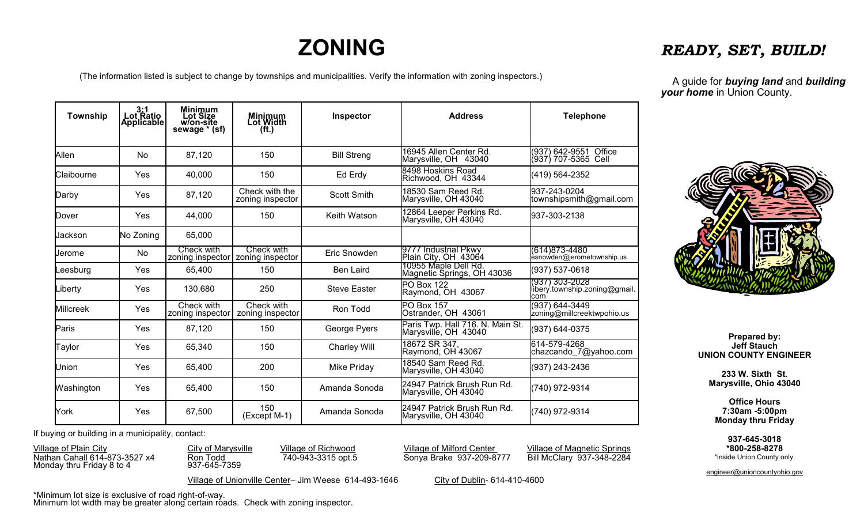## **ZONING**

(The information listed is subject to change by townships and municipalities. Verify the information with zoning inspectors.)

| -----                         |
|-------------------------------|
| A guide for <b>buying lan</b> |

**nd** and **building** *your home* in Union County.

*READY, SET, BUILD!*

| Township         | 3:1<br>Lot Ratio<br>Applicable | <b>Minimum</b><br>Lot Size<br>w/on-site<br>sewage * (sf) | Minimum<br>Lot Width<br>(ft.)      | Inspector           | <b>Address</b>                                           | <b>Telephone</b>                                       |
|------------------|--------------------------------|----------------------------------------------------------|------------------------------------|---------------------|----------------------------------------------------------|--------------------------------------------------------|
| Allen            | <b>No</b>                      | 87,120                                                   | 150                                | <b>Bill Streng</b>  | 16945 Allen Center Rd.<br>Marysville, OH 43040           | (937) 642-9551 Office<br>(937) 707-5365 Cell           |
| Claibourne       | Yes                            | 40,000                                                   | 150                                | Ed Erdy             | 8498 Hoskins Road<br>Richwood, OH 43344                  | (419) 564-2352                                         |
| Darby            | Yes                            | 87,120                                                   | Check with the<br>zoning inspector | <b>Scott Smith</b>  | 18530 Sam Reed Rd.<br>Marysville, OH 43040               | 937-243-0204<br>townshipsmith@gmail.com                |
| Dover            | Yes                            | 44,000                                                   | 150                                | Keith Watson        | 12864 Leeper Perkins Rd.<br>Marysville, OH 43040         | 937-303-2138                                           |
| Jackson          | No Zoning                      | 65,000                                                   |                                    |                     |                                                          |                                                        |
| Jerome           | No                             | Check with<br>zoning inspector                           | Check with<br>zoning inspector     | Eric Snowden        | 9777 Industrial Pkwy<br>Plain City, OH 43064             | (614) 873-4480<br>èsnoẃden@jerometownship.us           |
| Leesburg         | Yes                            | 65,400                                                   | 150                                | <b>Ben Laird</b>    | 10955 Maple Dell Rd.<br>Magnetic Springs, OH 43036       | (937) 537-0618                                         |
| Liberty          | Yes                            | 130,680                                                  | 250                                | <b>Steve Easter</b> | <b>PO Box 122</b><br>Raymond, OH 43067                   | (937) 303-2028<br>libery.township.zoning@gmail.<br>com |
| <b>Millcreek</b> | Yes                            | Check with<br>zoning inspector                           | Check with<br>zoning inspector     | Ron Todd            | <b>PO Box 157</b><br>Ostrander, OH 43061                 | (937) 644-3449<br>zoning@millcreektwpohio.us           |
| Paris            | Yes                            | 87,120                                                   | 150                                | George Pyers        | Paris Twp. Hall 716. N. Main St.<br>Marysville, OH 43040 | (937) 644-0375                                         |
| Taylor           | Yes                            | 65,340                                                   | 150                                | <b>Charley Will</b> | 18672 SR 347,<br>Raymond, OH 43067                       | 614-579-4268<br>chazcando 7@yahoo.com                  |
| Union            | Yes                            | 65,400                                                   | 200                                | Mike Priday         | 18540 Sam Reed Rd.<br>Marysville, OH 43040               | (937) 243-2436                                         |
| Washington       | Yes                            | 65,400                                                   | 150                                | Amanda Sonoda       | 24947 Patrick Brush Run Rd.<br>Marysville, OH 43040      | (740) 972-9314                                         |
| York             | Yes                            | 67,500                                                   | 150<br>(Except M-1)                | Amanda Sonoda       | 24947 Patrick Brush Run Rd.<br>Marysville, OH 43040      | (740) 972-9314                                         |

If buying or building in a municipality, contact:

Monday thru Friday 8 to 4 937-645-7359

Village of Plain City City of Marysville Village of Richwood Village of Milford Center Village of Magnetic Springs<br>Nathan Cahall 614-873-3527 x4 Ron Todd 740-943-3315 opt.5 Sonya Brake 937-209-8777 Bill McClary 937-348-228 Nathan Cahall 614-873-3527 x4 Ron Todd 740-943-3315 opt.5 Sonya Brake 937-209-8777 Bill McClary 937-348-2284

Village of Unionville Center- Jim Weese 614-493-1646 City of Dublin- 614-410-4600



**Prepared by: Jeff Stauch UNION COUNTY ENGINEER**

**233 W. Sixth St. Marysville, Ohio 43040**

**Office Hours 7:30am -5:00pm Monday thru Friday**

**937-645-3018 \*800-258-8278** \*inside Union County only.

engineer@unioncountyohio.gov

\*Minimum lot size is exclusive of road right-of-way. Minimum lot width may be greater along certain roads. Check with zoning inspector.